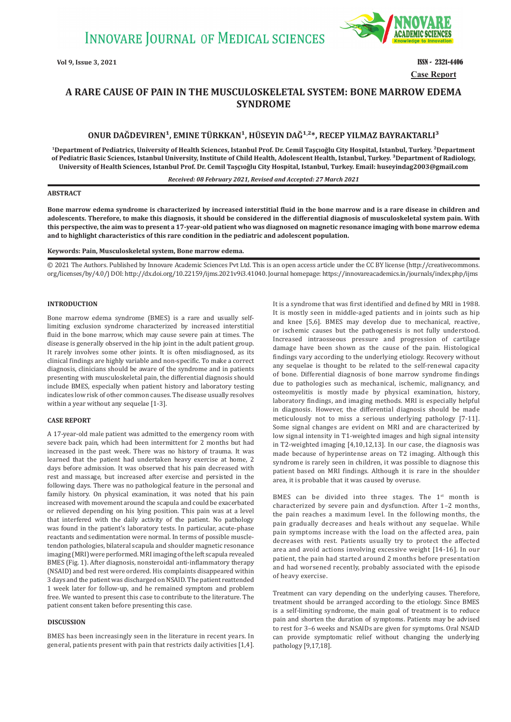

**Vol 9, Issue 3, 2021 ISSN - 2321-4406 Case Report**

# **A RARE CAUSE OF PAIN IN THE MUSCULOSKELETAL SYSTEM: BONE MARROW EDEMA SYNDROME**

## ONUR DAĞDEVIREN<sup>1</sup>, EMINE TÜRKKAN<sup>1</sup>, HÜSEYIN DAĞ<sup>1,2</sup>\*, RECEP YILMAZ BAYRAKTARLI<sup>3</sup>

**<sup>1</sup>Department of Pediatrics, University of Health Sciences, Istanbul Prof. Dr. Cemil Taşçıoğlu City Hospital, Istanbul, Turkey. ²Department**  of Pediatric Basic Sciences, Istanbul University, Institute of Child Health, Adolescent Health, Istanbul, Turkey. <sup>3</sup>Department of Radiology, **University of Health Sciences, Istanbul Prof. Dr. Cemil Taşçıoğlu City Hospital, Istanbul, Turkey. Email: huseyindag2003@gmail.com**

#### *Received: 08 February 2021, Revised and Accepted: 27 March 2021*

### **ABSTRACT**

**Bone marrow edema syndrome is characterized by increased interstitial fluid in the bone marrow and is a rare disease in children and adolescents. Therefore, to make this diagnosis, it should be considered in the differential diagnosis of musculoskeletal system pain. With this perspective, the aim was to present a 17-year-old patient who was diagnosed on magnetic resonance imaging with bone marrow edema and to highlight characteristics of this rare condition in the pediatric and adolescent population.**

#### **Keywords: Pain, Musculoskeletal system, Bone marrow edema.**

© 2021 The Authors. Published by Innovare Academic Sciences Pvt Ltd. This is an open access article under the CC BY license (http://creativecommons. org/licenses/by/4.0/) DOI: http://dx.doi.org/10.22159/ijms.2021v9i3.41040. Journal homepage: https://innovareacademics.in/journals/index.php/ijms

### **INTRODUCTION**

Bone marrow edema syndrome (BMES) is a rare and usually selflimiting exclusion syndrome characterized by increased interstitial fluid in the bone marrow, which may cause severe pain at times. The disease is generally observed in the hip joint in the adult patient group. It rarely involves some other joints. It is often misdiagnosed, as its clinical findings are highly variable and non-specific. To make a correct diagnosis, clinicians should be aware of the syndrome and in patients presenting with musculoskeletal pain, the differential diagnosis should include BMES, especially when patient history and laboratory testing indicates low risk of other common causes. The disease usually resolves within a year without any sequelae [1-3].

#### **CASE REPORT**

A 17-year-old male patient was admitted to the emergency room with severe back pain, which had been intermittent for 2 months but had increased in the past week. There was no history of trauma. It was learned that the patient had undertaken heavy exercise at home, 2 days before admission. It was observed that his pain decreased with rest and massage, but increased after exercise and persisted in the following days. There was no pathological feature in the personal and family history. On physical examination, it was noted that his pain increased with movement around the scapula and could be exacerbated or relieved depending on his lying position. This pain was at a level that interfered with the daily activity of the patient. No pathology was found in the patient's laboratory tests. In particular, acute-phase reactants and sedimentation were normal. In terms of possible muscletendon pathologies, bilateral scapula and shoulder magnetic resonance imaging (MRI) were performed. MRI imaging of the left scapula revealed BMES (Fig. 1). After diagnosis, nonsteroidal anti-inflammatory therapy (NSAID) and bed rest were ordered. His complaints disappeared within 3 days and the patient was discharged on NSAID. The patient reattended 1 week later for follow-up, and he remained symptom and problem free. We wanted to present this case to contribute to the literature. The patient consent taken before presenting this case.

### **DISCUSSION**

BMES has been increasingly seen in the literature in recent years. In general, patients present with pain that restricts daily activities [1,4]. It is a syndrome that was first identified and defined by MRI in 1988. It is mostly seen in middle-aged patients and in joints such as hip and knee [5,6]. BMES may develop due to mechanical, reactive, or ischemic causes but the pathogenesis is not fully understood. Increased intraosseous pressure and progression of cartilage damage have been shown as the cause of the pain. Histological findings vary according to the underlying etiology. Recovery without any sequelae is thought to be related to the self-renewal capacity of bone. Differential diagnosis of bone marrow syndrome findings due to pathologies such as mechanical, ischemic, malignancy, and osteomyelitis is mostly made by physical examination, history, laboratory findings, and imaging methods. MRI is especially helpful in diagnosis. However, the differential diagnosis should be made meticulously not to miss a serious underlying pathology [7-11]. Some signal changes are evident on MRI and are characterized by low signal intensity in T1-weighted images and high signal intensity in T2-weighted imaging [4,10,12,13]. In our case, the diagnosis was made because of hyperintense areas on T2 imaging. Although this syndrome is rarely seen in children, it was possible to diagnose this patient based on MRI findings. Although it is rare in the shoulder area, it is probable that it was caused by overuse.

BMES can be divided into three stages. The  $1<sup>st</sup>$  month is characterized by severe pain and dysfunction. After 1–2 months, the pain reaches a maximum level. In the following months, the pain gradually decreases and heals without any sequelae. While pain symptoms increase with the load on the affected area, pain decreases with rest. Patients usually try to protect the affected area and avoid actions involving excessive weight [14-16]. In our patient, the pain had started around 2 months before presentation and had worsened recently, probably associated with the episode of heavy exercise.

Treatment can vary depending on the underlying causes. Therefore, treatment should be arranged according to the etiology. Since BMES is a self-limiting syndrome, the main goal of treatment is to reduce pain and shorten the duration of symptoms. Patients may be advised to rest for 3–6 weeks and NSAIDs are given for symptoms. Oral NSAID can provide symptomatic relief without changing the underlying pathology [9,17,18].